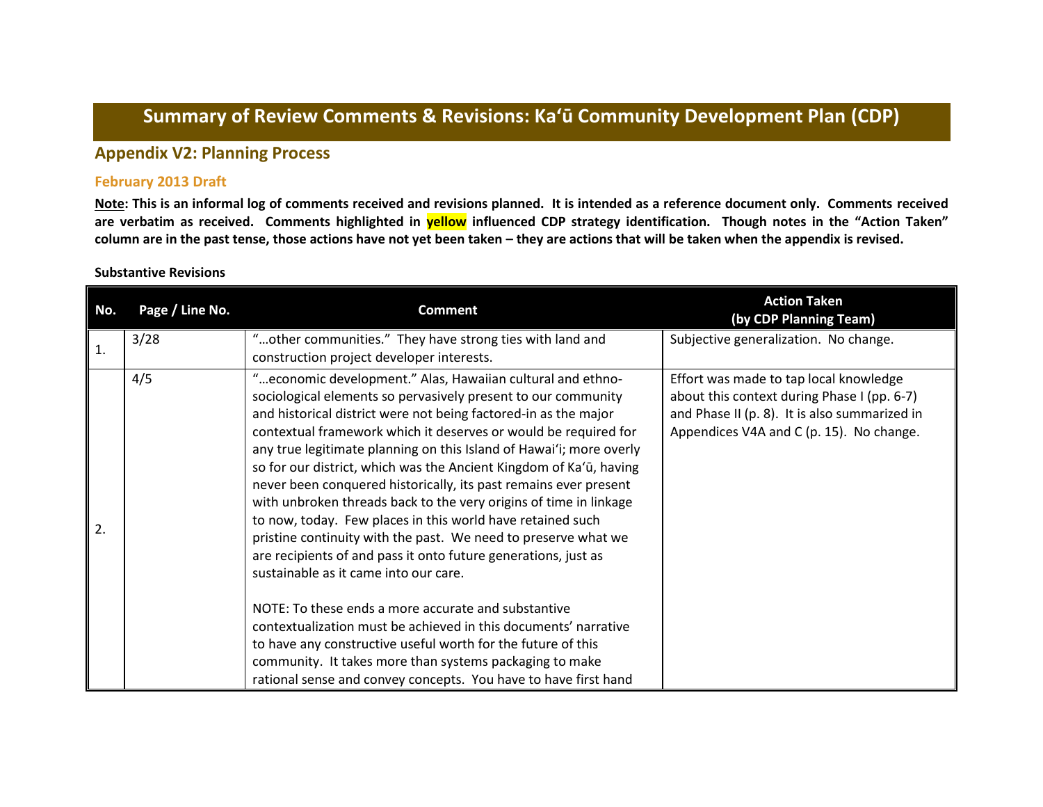# **Summary of Review Comments & Revisions: Ka'ū Community Development Plan (CDP)**

# **Appendix V2: Planning Process**

### **February 2013 Draft**

**Note: This is an informal log of comments received and revisions planned. It is intended as a reference document only. Comments received are verbatim as received. Comments highlighted in yellow influenced CDP strategy identification. Though notes in the "Action Taken" column are in the past tense, those actions have not yet been taken – they are actions that will be taken when the appendix is revised.**

#### **Substantive Revisions**

| No. | Page / Line No. | <b>Comment</b>                                                                                                                                                                                                                                                                                                                                                                                                                                                                                                                                                                                                                                                                                                                                                                                                                                                                                                                                                                                                                                                                                                              | <b>Action Taken</b><br>(by CDP Planning Team)                                                                                                                                      |
|-----|-----------------|-----------------------------------------------------------------------------------------------------------------------------------------------------------------------------------------------------------------------------------------------------------------------------------------------------------------------------------------------------------------------------------------------------------------------------------------------------------------------------------------------------------------------------------------------------------------------------------------------------------------------------------------------------------------------------------------------------------------------------------------------------------------------------------------------------------------------------------------------------------------------------------------------------------------------------------------------------------------------------------------------------------------------------------------------------------------------------------------------------------------------------|------------------------------------------------------------------------------------------------------------------------------------------------------------------------------------|
| 1.  | 3/28            | "other communities." They have strong ties with land and<br>construction project developer interests.                                                                                                                                                                                                                                                                                                                                                                                                                                                                                                                                                                                                                                                                                                                                                                                                                                                                                                                                                                                                                       | Subjective generalization. No change.                                                                                                                                              |
| 2.  | 4/5             | " economic development." Alas, Hawaiian cultural and ethno-<br>sociological elements so pervasively present to our community<br>and historical district were not being factored-in as the major<br>contextual framework which it deserves or would be required for<br>any true legitimate planning on this Island of Hawai'i; more overly<br>so for our district, which was the Ancient Kingdom of Ka'ū, having<br>never been conquered historically, its past remains ever present<br>with unbroken threads back to the very origins of time in linkage<br>to now, today. Few places in this world have retained such<br>pristine continuity with the past. We need to preserve what we<br>are recipients of and pass it onto future generations, just as<br>sustainable as it came into our care.<br>NOTE: To these ends a more accurate and substantive<br>contextualization must be achieved in this documents' narrative<br>to have any constructive useful worth for the future of this<br>community. It takes more than systems packaging to make<br>rational sense and convey concepts. You have to have first hand | Effort was made to tap local knowledge<br>about this context during Phase I (pp. 6-7)<br>and Phase II (p. 8). It is also summarized in<br>Appendices V4A and C (p. 15). No change. |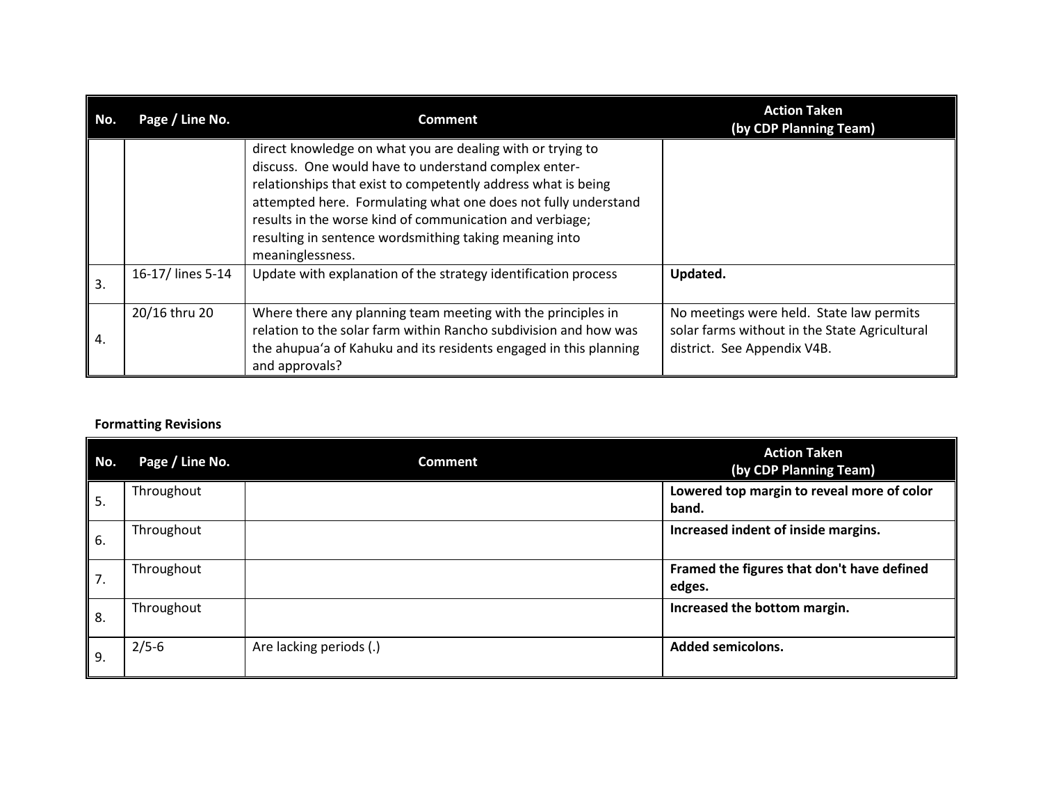| No. | Page / Line No.   | <b>Comment</b>                                                                                                                                                                                                                                                                                                                                                                                  | <b>Action Taken</b><br>(by CDP Planning Team)                                                                            |
|-----|-------------------|-------------------------------------------------------------------------------------------------------------------------------------------------------------------------------------------------------------------------------------------------------------------------------------------------------------------------------------------------------------------------------------------------|--------------------------------------------------------------------------------------------------------------------------|
|     |                   | direct knowledge on what you are dealing with or trying to<br>discuss. One would have to understand complex enter-<br>relationships that exist to competently address what is being<br>attempted here. Formulating what one does not fully understand<br>results in the worse kind of communication and verbiage;<br>resulting in sentence wordsmithing taking meaning into<br>meaninglessness. |                                                                                                                          |
| 3.  | 16-17/ lines 5-14 | Update with explanation of the strategy identification process                                                                                                                                                                                                                                                                                                                                  | Updated.                                                                                                                 |
| 4.  | 20/16 thru 20     | Where there any planning team meeting with the principles in<br>relation to the solar farm within Rancho subdivision and how was<br>the ahupua'a of Kahuku and its residents engaged in this planning<br>and approvals?                                                                                                                                                                         | No meetings were held. State law permits<br>solar farms without in the State Agricultural<br>district. See Appendix V4B. |

## **Formatting Revisions**

| No. | Page / Line No. | <b>Comment</b>          | <b>Action Taken</b><br>(by CDP Planning Team)        |
|-----|-----------------|-------------------------|------------------------------------------------------|
| 5.  | Throughout      |                         | Lowered top margin to reveal more of color<br>band.  |
| 6.  | Throughout      |                         | Increased indent of inside margins.                  |
| 7.  | Throughout      |                         | Framed the figures that don't have defined<br>edges. |
| 8.  | Throughout      |                         | Increased the bottom margin.                         |
| 9.  | $2/5 - 6$       | Are lacking periods (.) | <b>Added semicolons.</b>                             |